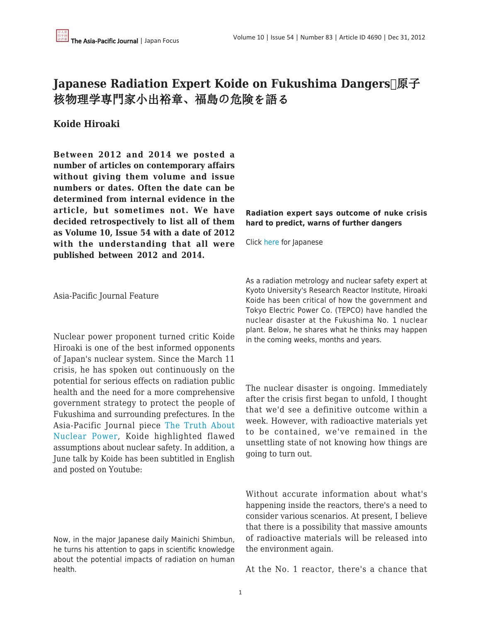## **Japanese Radiation Expert Koide on Fukushima Dangers** 核物理学専門家小出裕章、福島の危険を語る

## **Koide Hiroaki**

**Between 2012 and 2014 we posted a number of articles on contemporary affairs without giving them volume and issue numbers or dates. Often the date can be determined from internal evidence in the article, but sometimes not. We have decided retrospectively to list all of them as Volume 10, Issue 54 with a date of 2012 with the understanding that all were published between 2012 and 2014.**

## **Radiation expert says outcome of nuke crisis hard to predict, warns of further dangers**

Click [here](http://mainichi.jp/select/weathernews/news/20110909ddm010040003000c.html) for Japanese

Asia-Pacific Journal Feature

Nuclear power proponent turned critic Koide Hiroaki is one of the best informed opponents of Japan's nuclear system. Since the March 11 crisis, he has spoken out continuously on the potential for serious effects on radiation public health and the need for a more comprehensive government strategy to protect the people of Fukushima and surrounding prefectures. In the Asia-Pacific Journal piece [The Truth About](https://apjjf.org/-Koide-Hiroaki/3582) [Nuclear Power,](https://apjjf.org/-Koide-Hiroaki/3582) Koide highlighted flawed assumptions about nuclear safety. In addition, a June talk by Koide has been subtitled in English and posted on Youtube:

Now, in the major Japanese daily Mainichi Shimbun, he turns his attention to gaps in scientific knowledge about the potential impacts of radiation on human health.

As a radiation metrology and nuclear safety expert at Kyoto University's Research Reactor Institute, Hiroaki Koide has been critical of how the government and Tokyo Electric Power Co. (TEPCO) have handled the nuclear disaster at the Fukushima No. 1 nuclear plant. Below, he shares what he thinks may happen in the coming weeks, months and years.

The nuclear disaster is ongoing. Immediately after the crisis first began to unfold, I thought that we'd see a definitive outcome within a week. However, with radioactive materials yet to be contained, we've remained in the unsettling state of not knowing how things are going to turn out.

Without accurate information about what's happening inside the reactors, there's a need to consider various scenarios. At present, I believe that there is a possibility that massive amounts of radioactive materials will be released into the environment again.

At the No. 1 reactor, there's a chance that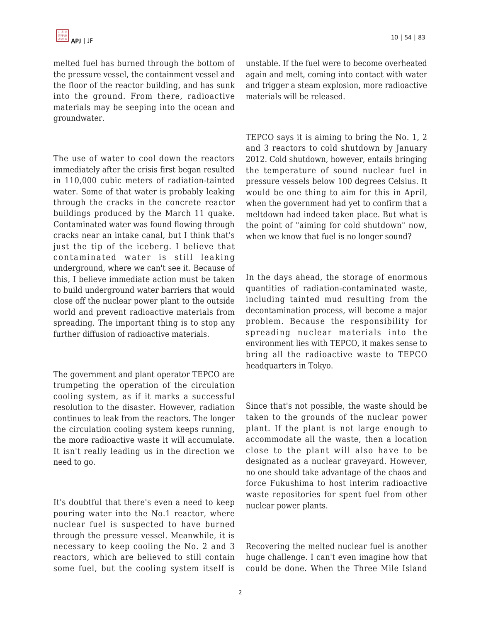melted fuel has burned through the bottom of the pressure vessel, the containment vessel and the floor of the reactor building, and has sunk into the ground. From there, radioactive materials may be seeping into the ocean and groundwater.

The use of water to cool down the reactors immediately after the crisis first began resulted in 110,000 cubic meters of radiation-tainted water. Some of that water is probably leaking through the cracks in the concrete reactor buildings produced by the March 11 quake. Contaminated water was found flowing through cracks near an intake canal, but I think that's just the tip of the iceberg. I believe that contaminated water is still leaking underground, where we can't see it. Because of this, I believe immediate action must be taken to build underground water barriers that would close off the nuclear power plant to the outside world and prevent radioactive materials from spreading. The important thing is to stop any further diffusion of radioactive materials.

The government and plant operator TEPCO are trumpeting the operation of the circulation cooling system, as if it marks a successful resolution to the disaster. However, radiation continues to leak from the reactors. The longer the circulation cooling system keeps running, the more radioactive waste it will accumulate. It isn't really leading us in the direction we need to go.

It's doubtful that there's even a need to keep pouring water into the No.1 reactor, where nuclear fuel is suspected to have burned through the pressure vessel. Meanwhile, it is necessary to keep cooling the No. 2 and 3 reactors, which are believed to still contain some fuel, but the cooling system itself is unstable. If the fuel were to become overheated again and melt, coming into contact with water and trigger a steam explosion, more radioactive materials will be released.

TEPCO says it is aiming to bring the No. 1, 2 and 3 reactors to cold shutdown by January 2012. Cold shutdown, however, entails bringing the temperature of sound nuclear fuel in pressure vessels below 100 degrees Celsius. It would be one thing to aim for this in April, when the government had yet to confirm that a meltdown had indeed taken place. But what is the point of "aiming for cold shutdown" now, when we know that fuel is no longer sound?

In the days ahead, the storage of enormous quantities of radiation-contaminated waste, including tainted mud resulting from the decontamination process, will become a major problem. Because the responsibility for spreading nuclear materials into the environment lies with TEPCO, it makes sense to bring all the radioactive waste to TEPCO headquarters in Tokyo.

Since that's not possible, the waste should be taken to the grounds of the nuclear power plant. If the plant is not large enough to accommodate all the waste, then a location close to the plant will also have to be designated as a nuclear graveyard. However, no one should take advantage of the chaos and force Fukushima to host interim radioactive waste repositories for spent fuel from other nuclear power plants.

Recovering the melted nuclear fuel is another huge challenge. I can't even imagine how that could be done. When the Three Mile Island